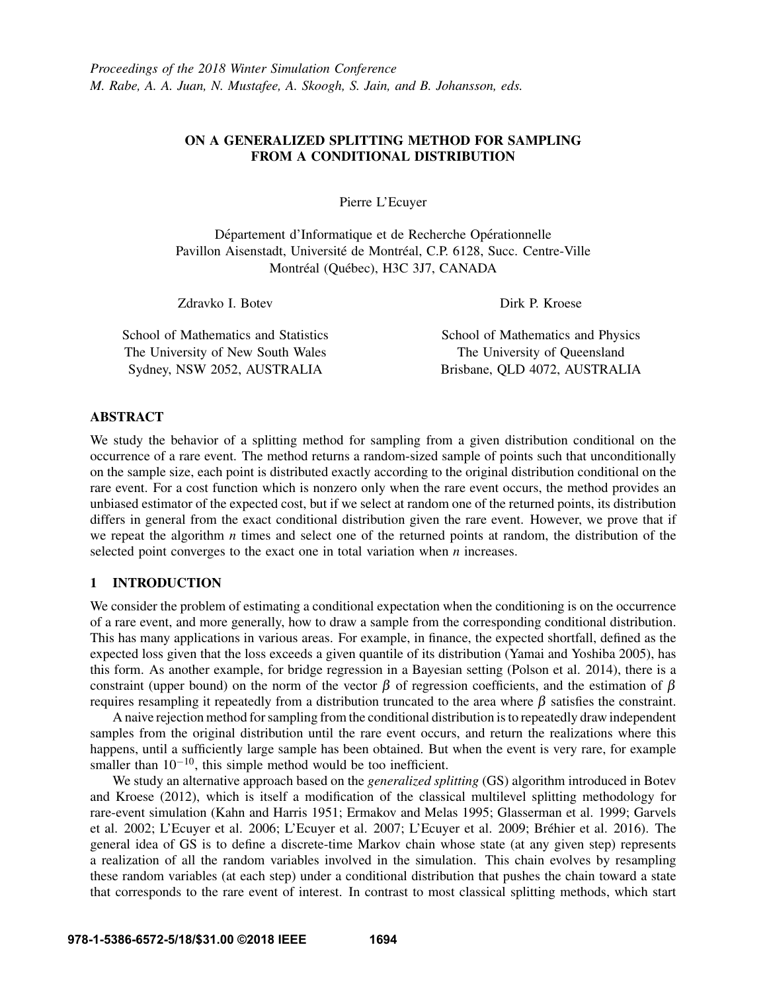# ON A GENERALIZED SPLITTING METHOD FOR SAMPLING FROM A CONDITIONAL DISTRIBUTION

Pierre L'Ecuyer

Département d'Informatique et de Recherche Opérationnelle Pavillon Aisenstadt, Université de Montréal, C.P. 6128, Succ. Centre-Ville Montréal (Québec), H3C 3J7, CANADA

Zdravko I. Botev

Dirk P. Kroese

School of Mathematics and Statistics The University of New South Wales Sydney, NSW 2052, AUSTRALIA

School of Mathematics and Physics The University of Queensland Brisbane, QLD 4072, AUSTRALIA

# ABSTRACT

We study the behavior of a splitting method for sampling from a given distribution conditional on the occurrence of a rare event. The method returns a random-sized sample of points such that unconditionally on the sample size, each point is distributed exactly according to the original distribution conditional on the rare event. For a cost function which is nonzero only when the rare event occurs, the method provides an unbiased estimator of the expected cost, but if we select at random one of the returned points, its distribution differs in general from the exact conditional distribution given the rare event. However, we prove that if we repeat the algorithm *n* times and select one of the returned points at random, the distribution of the selected point converges to the exact one in total variation when *n* increases.

## 1 INTRODUCTION

We consider the problem of estimating a conditional expectation when the conditioning is on the occurrence of a rare event, and more generally, how to draw a sample from the corresponding conditional distribution. This has many applications in various areas. For example, in finance, the expected shortfall, defined as the expected loss given that the loss exceeds a given quantile of its distribution (Yamai and Yoshiba 2005), has this form. As another example, for bridge regression in a Bayesian setting (Polson et al. 2014), there is a constraint (upper bound) on the norm of the vector  $\beta$  of regression coefficients, and the estimation of  $\beta$ requires resampling it repeatedly from a distribution truncated to the area where β satisfies the constraint.

A naive rejection method for sampling from the conditional distribution is to repeatedly draw independent samples from the original distribution until the rare event occurs, and return the realizations where this happens, until a sufficiently large sample has been obtained. But when the event is very rare, for example smaller than  $10^{-10}$ , this simple method would be too inefficient.

We study an alternative approach based on the *generalized splitting* (GS) algorithm introduced in Botev and Kroese (2012), which is itself a modification of the classical multilevel splitting methodology for rare-event simulation (Kahn and Harris 1951; Ermakov and Melas 1995; Glasserman et al. 1999; Garvels et al. 2002; L'Ecuyer et al. 2006; L'Ecuyer et al. 2007; L'Ecuyer et al. 2009; Bréhier et al. 2016). The general idea of GS is to define a discrete-time Markov chain whose state (at any given step) represents a realization of all the random variables involved in the simulation. This chain evolves by resampling these random variables (at each step) under a conditional distribution that pushes the chain toward a state that corresponds to the rare event of interest. In contrast to most classical splitting methods, which start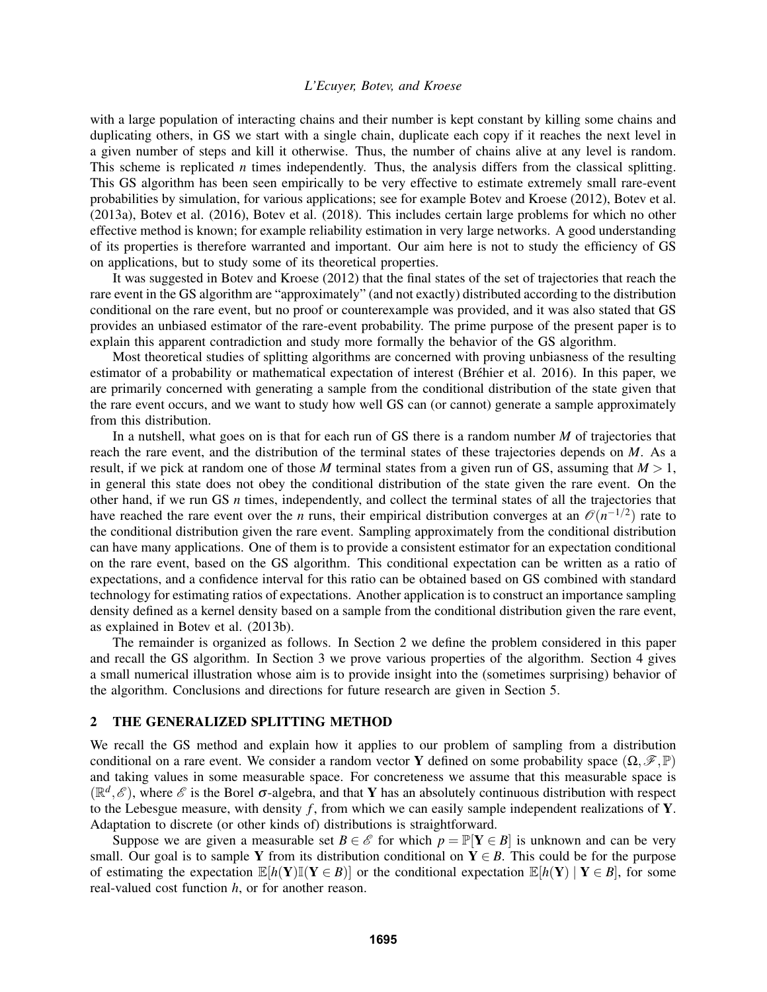with a large population of interacting chains and their number is kept constant by killing some chains and duplicating others, in GS we start with a single chain, duplicate each copy if it reaches the next level in a given number of steps and kill it otherwise. Thus, the number of chains alive at any level is random. This scheme is replicated *n* times independently. Thus, the analysis differs from the classical splitting. This GS algorithm has been seen empirically to be very effective to estimate extremely small rare-event probabilities by simulation, for various applications; see for example Botev and Kroese (2012), Botev et al. (2013a), Botev et al. (2016), Botev et al. (2018). This includes certain large problems for which no other effective method is known; for example reliability estimation in very large networks. A good understanding of its properties is therefore warranted and important. Our aim here is not to study the efficiency of GS on applications, but to study some of its theoretical properties.

It was suggested in Botev and Kroese (2012) that the final states of the set of trajectories that reach the rare event in the GS algorithm are "approximately" (and not exactly) distributed according to the distribution conditional on the rare event, but no proof or counterexample was provided, and it was also stated that GS provides an unbiased estimator of the rare-event probability. The prime purpose of the present paper is to explain this apparent contradiction and study more formally the behavior of the GS algorithm.

Most theoretical studies of splitting algorithms are concerned with proving unbiasness of the resulting estimator of a probability or mathematical expectation of interest (Bréhier et al. 2016). In this paper, we are primarily concerned with generating a sample from the conditional distribution of the state given that the rare event occurs, and we want to study how well GS can (or cannot) generate a sample approximately from this distribution.

In a nutshell, what goes on is that for each run of GS there is a random number *M* of trajectories that reach the rare event, and the distribution of the terminal states of these trajectories depends on *M*. As a result, if we pick at random one of those *M* terminal states from a given run of GS, assuming that  $M > 1$ , in general this state does not obey the conditional distribution of the state given the rare event. On the other hand, if we run GS *n* times, independently, and collect the terminal states of all the trajectories that have reached the rare event over the *n* runs, their empirical distribution converges at an  $\mathcal{O}(n^{-1/2})$  rate to the conditional distribution given the rare event. Sampling approximately from the conditional distribution can have many applications. One of them is to provide a consistent estimator for an expectation conditional on the rare event, based on the GS algorithm. This conditional expectation can be written as a ratio of expectations, and a confidence interval for this ratio can be obtained based on GS combined with standard technology for estimating ratios of expectations. Another application is to construct an importance sampling density defined as a kernel density based on a sample from the conditional distribution given the rare event, as explained in Botev et al. (2013b).

The remainder is organized as follows. In Section 2 we define the problem considered in this paper and recall the GS algorithm. In Section 3 we prove various properties of the algorithm. Section 4 gives a small numerical illustration whose aim is to provide insight into the (sometimes surprising) behavior of the algorithm. Conclusions and directions for future research are given in Section 5.

#### 2 THE GENERALIZED SPLITTING METHOD

We recall the GS method and explain how it applies to our problem of sampling from a distribution conditional on a rare event. We consider a random vector Y defined on some probability space  $(\Omega, \mathscr{F}, \mathbb{P})$ and taking values in some measurable space. For concreteness we assume that this measurable space is  $(\mathbb{R}^d, \mathscr{E})$ , where  $\mathscr{E}$  is the Borel  $\sigma$ -algebra, and that Y has an absolutely continuous distribution with respect to the Lebesgue measure, with density *f* , from which we can easily sample independent realizations of Y. Adaptation to discrete (or other kinds of) distributions is straightforward.

Suppose we are given a measurable set *B*  $\in \mathcal{E}$  for which  $p = \mathbb{P}[Y \in B]$  is unknown and can be very small. Our goal is to sample Y from its distribution conditional on  $Y \in B$ . This could be for the purpose of estimating the expectation  $\mathbb{E}[h(Y)\mathbb{I}(Y \in B)]$  or the conditional expectation  $\mathbb{E}[h(Y) | Y \in B]$ , for some real-valued cost function *h*, or for another reason.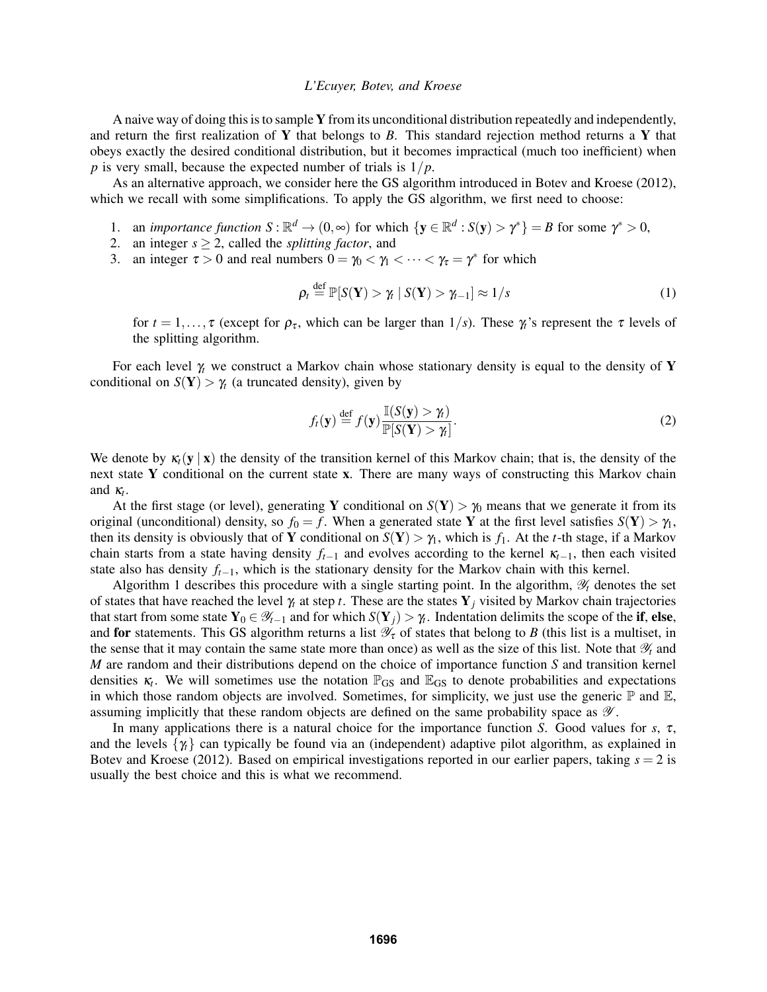A naive way of doing this is to sample Y from its unconditional distribution repeatedly and independently, and return the first realization of Y that belongs to *B*. This standard rejection method returns a Y that obeys exactly the desired conditional distribution, but it becomes impractical (much too inefficient) when *p* is very small, because the expected number of trials is  $1/p$ .

As an alternative approach, we consider here the GS algorithm introduced in Botev and Kroese (2012), which we recall with some simplifications. To apply the GS algorithm, we first need to choose:

- 1. an *importance function*  $S : \mathbb{R}^d \to (0, \infty)$  for which  $\{y \in \mathbb{R}^d : S(y) > \gamma^*\} = B$  for some  $\gamma^* > 0$ ,
- 2. an integer  $s > 2$ , called the *splitting factor*, and
- 3. an integer  $\tau > 0$  and real numbers  $0 = \gamma_0 < \gamma_1 < \cdots < \gamma_{\tau} = \gamma^*$  for which

$$
\rho_t \stackrel{\text{def}}{=} \mathbb{P}[S(\mathbf{Y}) > \gamma_t \mid S(\mathbf{Y}) > \gamma_{t-1}] \approx 1/s \tag{1}
$$

for  $t = 1, \ldots, \tau$  (except for  $\rho_{\tau}$ , which can be larger than  $1/s$ ). These  $\gamma_t$ 's represent the  $\tau$  levels of the splitting algorithm.

For each level  $\gamma$  we construct a Markov chain whose stationary density is equal to the density of Y conditional on  $S(Y) > \gamma_t$  (a truncated density), given by

$$
f_t(\mathbf{y}) \stackrel{\text{def}}{=} f(\mathbf{y}) \frac{\mathbb{I}(S(\mathbf{y}) > \gamma_t)}{\mathbb{P}[S(\mathbf{Y}) > \gamma_t]}.
$$
 (2)

We denote by  $\kappa_t(y | x)$  the density of the transition kernel of this Markov chain; that is, the density of the next state Y conditional on the current state x. There are many ways of constructing this Markov chain and  $\kappa_t$ .

At the first stage (or level), generating Y conditional on  $S(Y) > \gamma_0$  means that we generate it from its original (unconditional) density, so  $f_0 = f$ . When a generated state Y at the first level satisfies  $S(Y) > \gamma_1$ , then its density is obviously that of Y conditional on  $S(Y) > \gamma_1$ , which is  $f_1$ . At the *t*-th stage, if a Markov chain starts from a state having density  $f_{t-1}$  and evolves according to the kernel  $\kappa_{t-1}$ , then each visited state also has density *ft*−1, which is the stationary density for the Markov chain with this kernel.

Algorithm 1 describes this procedure with a single starting point. In the algorithm,  $\mathscr{Y}_t$  denotes the set of states that have reached the level  $\gamma_t$  at step *t*. These are the states  $Y_j$  visited by Markov chain trajectories that start from some state  $Y_0 \in \mathcal{Y}_{t-1}$  and for which  $S(Y_j) > \gamma_t$ . Indentation delimits the scope of the if, else, and for statements. This GS algorithm returns a list  $\mathcal{Y}_{\tau}$  of states that belong to *B* (this list is a multiset, in the sense that it may contain the same state more than once) as well as the size of this list. Note that  $\mathcal{Y}_t$  and *M* are random and their distributions depend on the choice of importance function *S* and transition kernel densities  $\kappa_t$ . We will sometimes use the notation  $\mathbb{P}_{GS}$  and  $\mathbb{E}_{GS}$  to denote probabilities and expectations in which those random objects are involved. Sometimes, for simplicity, we just use the generic  $\mathbb P$  and  $\mathbb E$ , assuming implicitly that these random objects are defined on the same probability space as  $\mathscr Y$ .

In many applications there is a natural choice for the importance function *S*. Good values for *s*,  $\tau$ , and the levels  $\{\gamma_i\}$  can typically be found via an (independent) adaptive pilot algorithm, as explained in Botev and Kroese (2012). Based on empirical investigations reported in our earlier papers, taking  $s = 2$  is usually the best choice and this is what we recommend.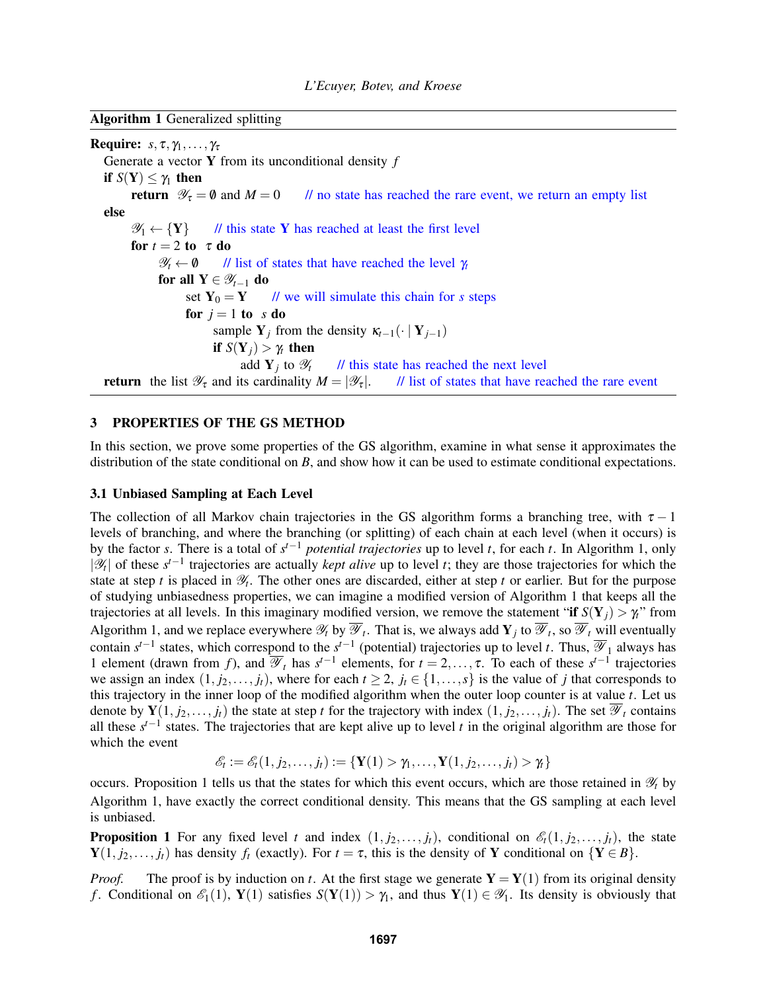Algorithm 1 Generalized splitting

**Require:**  $s, \tau, \gamma_1, \ldots, \gamma_\tau$ Generate a vector Y from its unconditional density *f* if  $S(Y) \le \gamma_1$  then<br>return  $\mathcal{Y}_{\tau} = \emptyset$  and  $M = 0$ *II* no state has reached the rare event, we return an empty list else  $\mathscr{Y}_1 \leftarrow {\ Y}$  // this state Y has reached at least the first level for  $t = 2$  to  $\tau$  do  $\mathscr{Y}_t \leftarrow \emptyset$  // list of states that have reached the level  $\gamma_t$ for all  $Y \in \mathscr{Y}_{t-1}$  do set  $Y_0 = Y$  // we will simulate this chain for *s* steps for  $j = 1$  to *s* do sample  $Y_i$  from the density  $\kappa_{t-1}(\cdot | Y_{i-1})$ if  $S(Y_i) > \gamma_i$  then add  $Y_j$  to  $\mathscr{Y}_t$ // this state has reached the next level **return** the list  $\mathcal{Y}_{\tau}$  and its cardinality  $M = |\mathcal{Y}_{\tau}|$ . // list of states that have reached the rare event

## 3 PROPERTIES OF THE GS METHOD

In this section, we prove some properties of the GS algorithm, examine in what sense it approximates the distribution of the state conditional on *B*, and show how it can be used to estimate conditional expectations.

### 3.1 Unbiased Sampling at Each Level

The collection of all Markov chain trajectories in the GS algorithm forms a branching tree, with  $\tau - 1$ levels of branching, and where the branching (or splitting) of each chain at each level (when it occurs) is by the factor *s*. There is a total of  $s^{t-1}$  *potential trajectories* up to level *t*, for each *t*. In Algorithm 1, only |H| of these s<sup>t-1</sup> trajectories are actually *kept alive* up to level *t*; they are those trajectories for which the state at step  $t$  is placed in  $\mathcal{Y}_t$ . The other ones are discarded, either at step  $t$  or earlier. But for the purpose of studying unbiasedness properties, we can imagine a modified version of Algorithm 1 that keeps all the trajectories at all levels. In this imaginary modified version, we remove the statement "if  $S(Y_j) > \gamma_i$ " from Algorithm 1, and we replace everywhere  $\mathcal{Y}_t$  by  $\mathcal{Y}_t$ . That is, we always add  $Y_j$  to  $\mathcal{Y}_t$ , so  $\mathcal{Y}_t$  will eventually contain  $s^{t-1}$  states, which correspond to the  $s^{t-1}$  (potential) trajectories up to level *t*. Thus,  $\overline{\mathscr{Y}}_1$  always has 1 element (drawn from *f*), and  $\overline{\mathscr{Y}}_t$  has  $s^{t-1}$  elements, for  $t = 2, ..., \tau$ . To each of these  $s^{t-1}$  trajectories we assign an index  $(1, j_2, \ldots, j_t)$ , where for each  $t \geq 2$ ,  $j_t \in \{1, \ldots, s\}$  is the value of *j* that corresponds to this trajectory in the inner loop of the modified algorithm when the outer loop counter is at value *t*. Let us denote by  $Y(1, j_2, \ldots, j_t)$  the state at step *t* for the trajectory with index  $(1, j_2, \ldots, j_t)$ . The set  $\overline{\mathscr{Y}}_t$  contains all these  $s^{t-1}$  states. The trajectories that are kept alive up to level *t* in the original algorithm are those for which the event

 $\mathscr{E}_t := \mathscr{E}_t(1, j_2, \ldots, j_t) := \{ \mathbf{Y}(1) > \gamma_1, \ldots, \mathbf{Y}(1, j_2, \ldots, j_t) > \gamma_t \}$ 

occurs. Proposition 1 tells us that the states for which this event occurs, which are those retained in Y*<sup>t</sup>* by Algorithm 1, have exactly the correct conditional density. This means that the GS sampling at each level is unbiased.

**Proposition 1** For any fixed level *t* and index  $(1, j_2, \ldots, j_t)$ , conditional on  $\mathcal{E}_t(1, j_2, \ldots, j_t)$ , the state  $\mathbf{Y}(1, j_2, \ldots, j_t)$  has density  $f_t$  (exactly). For  $t = \tau$ , this is the density of Y conditional on  $\{Y \in B\}$ .

*Proof.* The proof is by induction on *t*. At the first stage we generate  $Y = Y(1)$  from its original density *f*. Conditional on  $\mathcal{E}_1(1)$ ,  $\mathbf{Y}(1)$  satisfies  $S(\mathbf{Y}(1)) > \gamma_1$ , and thus  $\mathbf{Y}(1) \in \mathcal{Y}_1$ . Its density is obviously that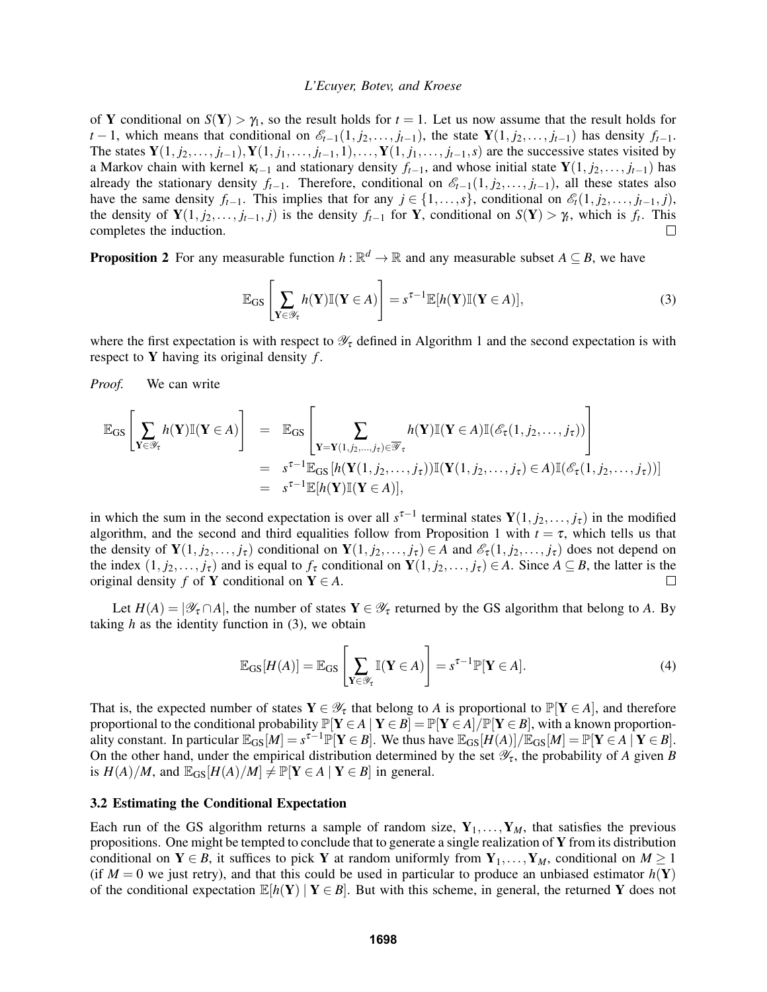of Y conditional on  $S(Y) > \gamma_1$ , so the result holds for  $t = 1$ . Let us now assume that the result holds for *t* − 1, which means that conditional on  $\mathcal{E}_{t-1}(1, j_2, \ldots, j_{t-1})$ , the state  $\mathbf{Y}(1, j_2, \ldots, j_{t-1})$  has density  $f_{t-1}$ . The states  $Y(1, j_2, \ldots, j_{t-1}), Y(1, j_1, \ldots, j_{t-1}, 1), \ldots, Y(1, j_1, \ldots, j_{t-1}, s)$  are the successive states visited by a Markov chain with kernel  $\kappa_{t-1}$  and stationary density  $f_{t-1}$ , and whose initial state  $\mathbf{Y}(1, j_2, \ldots, j_{t-1})$  has already the stationary density  $f_{t-1}$ . Therefore, conditional on  $\mathcal{E}_{t-1}(1, j_2, \ldots, j_{t-1})$ , all these states also have the same density  $f_{t-1}$ . This implies that for any  $j \in \{1, \ldots, s\}$ , conditional on  $\mathcal{E}_t(1, j_2, \ldots, j_{t-1}, j)$ , the density of  $Y(1, j_2, \ldots, j_{t-1}, j)$  is the density  $f_{t-1}$  for Y, conditional on  $S(Y) > \gamma_t$ , which is  $f_t$ . This completes the induction.  $\Box$ 

**Proposition 2** For any measurable function  $h : \mathbb{R}^d \to \mathbb{R}$  and any measurable subset  $A \subseteq B$ , we have

$$
\mathbb{E}_{\text{GS}}\left[\sum_{\mathbf{Y}\in\mathscr{Y}_{\tau}}h(\mathbf{Y})\mathbb{I}(\mathbf{Y}\in A)\right]=s^{\tau-1}\mathbb{E}[h(\mathbf{Y})\mathbb{I}(\mathbf{Y}\in A)],\tag{3}
$$

where the first expectation is with respect to  $\mathcal{Y}_\tau$  defined in Algorithm 1 and the second expectation is with respect to Y having its original density *f* .

*Proof.* We can write

$$
\mathbb{E}_{\text{GS}}\left[\sum_{\mathbf{Y}\in\mathscr{Y}_{\tau}}h(\mathbf{Y})\mathbb{I}(\mathbf{Y}\in A)\right] = \mathbb{E}_{\text{GS}}\left[\sum_{\mathbf{Y}=\mathbf{Y}(1,j_2,\ldots,j_{\tau})\in\overline{\mathscr{Y}}_{\tau}}h(\mathbf{Y})\mathbb{I}(\mathbf{Y}\in A)\mathbb{I}(\mathscr{E}_{\tau}(1,j_2,\ldots,j_{\tau}))\right]
$$
  
\n
$$
= s^{\tau-1}\mathbb{E}_{\text{GS}}\left[h(\mathbf{Y}(1,j_2,\ldots,j_{\tau}))\mathbb{I}(\mathbf{Y}(1,j_2,\ldots,j_{\tau})\in A)\mathbb{I}(\mathscr{E}_{\tau}(1,j_2,\ldots,j_{\tau}))\right]
$$
  
\n
$$
= s^{\tau-1}\mathbb{E}[h(\mathbf{Y})\mathbb{I}(\mathbf{Y}\in A)],
$$

in which the sum in the second expectation is over all  $s^{\tau-1}$  terminal states  $Y(1, j_2, \ldots, j_\tau)$  in the modified algorithm, and the second and third equalities follow from Proposition 1 with  $t = \tau$ , which tells us that the density of  $Y(1, j_2, \ldots, j_\tau)$  conditional on  $Y(1, j_2, \ldots, j_\tau) \in A$  and  $\mathscr{E}_\tau(1, j_2, \ldots, j_\tau)$  does not depend on the index  $(1, j_2, \ldots, j_\tau)$  and is equal to  $f_\tau$  conditional on  $\mathbf{Y}(1, j_2, \ldots, j_\tau) \in A$ . Since  $A \subseteq B$ , the latter is the original density *f* of **Y** conditional on **Y**  $\in$  *A*.  $\Box$ 

Let  $H(A) = |\mathscr{Y}_{\tau} \cap A|$ , the number of states  $\mathbf{Y} \in \mathscr{Y}_{\tau}$  returned by the GS algorithm that belong to A. By taking  $h$  as the identity function in  $(3)$ , we obtain

$$
\mathbb{E}_{\text{GS}}[H(A)] = \mathbb{E}_{\text{GS}}\left[\sum_{\mathbf{Y}\in\mathscr{Y}_{\tau}}\mathbb{I}(\mathbf{Y}\in A)\right] = s^{\tau-1}\mathbb{P}[\mathbf{Y}\in A].\tag{4}
$$

That is, the expected number of states  $Y \in \mathcal{Y}_{\tau}$  that belong to *A* is proportional to  $\mathbb{P}[Y \in A]$ , and therefore proportional to the conditional probability  $\mathbb{P}[\mathbf{Y} \in A | \mathbf{Y} \in B] = \mathbb{P}[\mathbf{Y} \in A]/\mathbb{P}[\mathbf{Y} \in B]$ , with a known proportionality constant. In particular  $\mathbb{E}_{GS}[M] = s^{\tau-1} \mathbb{P}[Y \in B]$ . We thus have  $\mathbb{E}_{GS}[H(A)] / \mathbb{E}_{GS}[M] = \mathbb{P}[Y \in A \mid Y \in B]$ . On the other hand, under the empirical distribution determined by the set  $\mathscr{Y}_{\tau}$ , the probability of *A* given *B* is  $H(A)/M$ , and  $\mathbb{E}_{GS}[H(A)/M] \neq \mathbb{P}[\mathbf{Y} \in A \mid \mathbf{Y} \in B]$  in general.

#### 3.2 Estimating the Conditional Expectation

Each run of the GS algorithm returns a sample of random size,  $Y_1, \ldots, Y_M$ , that satisfies the previous propositions. One might be tempted to conclude that to generate a single realization of Y from its distribution conditional on  $Y \in B$ , it suffices to pick Y at random uniformly from  $Y_1, \ldots, Y_M$ , conditional on  $M \ge 1$ (if  $M = 0$  we just retry), and that this could be used in particular to produce an unbiased estimator  $h(Y)$ of the conditional expectation  $\mathbb{E}[h(Y) | Y \in B]$ . But with this scheme, in general, the returned Y does not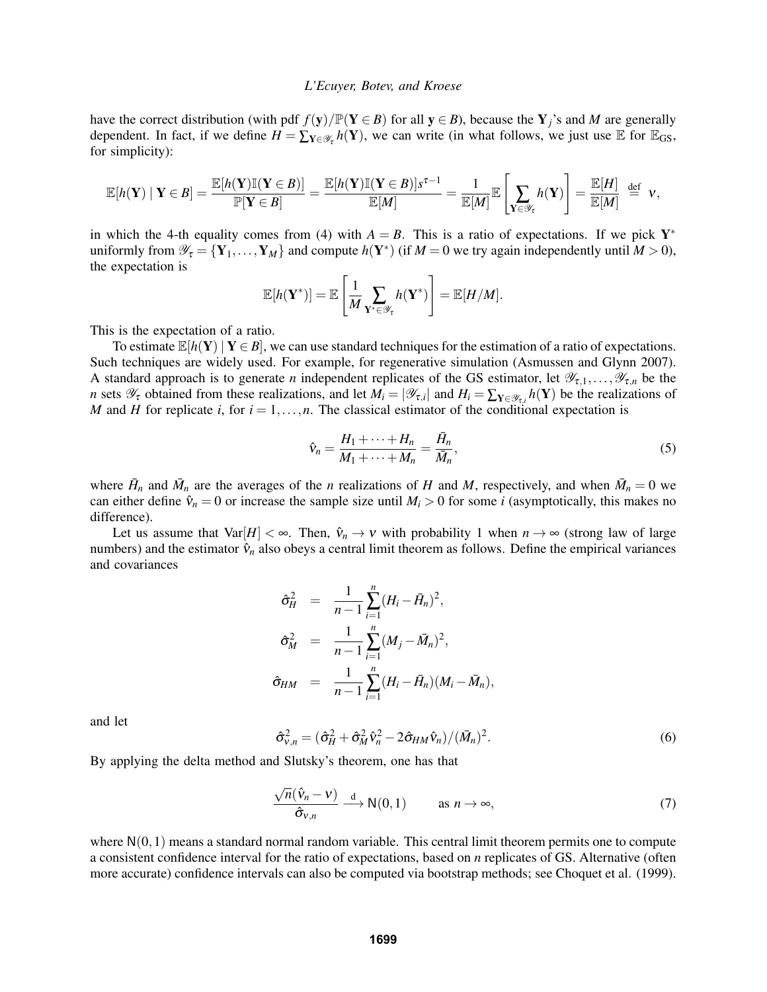have the correct distribution (with pdf  $f(y)/\mathbb{P}(Y \in B)$  for all  $y \in B$ ), because the Y<sub>j</sub>'s and *M* are generally dependent. In fact, if we define  $H = \sum_{\mathbf{Y} \in \mathcal{Y}_{\tau}} h(\mathbf{Y})$ , we can write (in what follows, we just use  $\mathbb{E}$  for  $\mathbb{E}_{GS}$ , for simplicity):

$$
\mathbb{E}[h(\mathbf{Y}) \mid \mathbf{Y} \in B] = \frac{\mathbb{E}[h(\mathbf{Y})\mathbb{I}(\mathbf{Y} \in B)]}{\mathbb{P}[\mathbf{Y} \in B]} = \frac{\mathbb{E}[h(\mathbf{Y})\mathbb{I}(\mathbf{Y} \in B)]s^{\tau-1}}{\mathbb{E}[M]} = \frac{1}{\mathbb{E}[M]} \mathbb{E}\left[\sum_{\mathbf{Y} \in \mathscr{Y}_{\tau}} h(\mathbf{Y})\right] = \frac{\mathbb{E}[H]}{\mathbb{E}[M]} \stackrel{\text{def}}{=} \mathbf{V},
$$

in which the 4-th equality comes from (4) with  $A = B$ . This is a ratio of expectations. If we pick  $Y^*$ uniformly from  $\mathscr{Y}_{\tau} = \{Y_1, \ldots, Y_M\}$  and compute  $h(Y^*)$  (if  $M = 0$  we try again independently until  $M > 0$ ), the expectation is

$$
\mathbb{E}[h(\mathbf{Y}^*)] = \mathbb{E}\left[\frac{1}{M}\sum_{\mathbf{Y}^*\in\mathscr{Y}_{\tau}}h(\mathbf{Y}^*)\right] = \mathbb{E}[H/M].
$$

This is the expectation of a ratio.

To estimate  $\mathbb{E}[h(Y) | Y \in B]$ , we can use standard techniques for the estimation of a ratio of expectations. Such techniques are widely used. For example, for regenerative simulation (Asmussen and Glynn 2007). A standard approach is to generate *n* independent replicates of the GS estimator, let  $\mathscr{Y}_{\tau,1},\ldots,\mathscr{Y}_{\tau,n}$  be the *n* sets  $\mathscr{Y}_{\tau}$  obtained from these realizations, and let  $M_i = |\mathscr{Y}_{\tau,i}|$  and  $H_i = \sum_{\mathbf{Y} \in \mathscr{Y}_{\tau,i}} h(\mathbf{Y})$  be the realizations of *M* and *H* for replicate *i*, for  $i = 1, \ldots, n$ . The classical estimator of the conditional expectation is

$$
\hat{\mathbf{v}}_n = \frac{H_1 + \dots + H_n}{M_1 + \dots + M_n} = \frac{\bar{H}_n}{\bar{M}_n},\tag{5}
$$

where  $\bar{H}_n$  and  $\bar{M}_n$  are the averages of the *n* realizations of *H* and *M*, respectively, and when  $\bar{M}_n = 0$  we can either define  $\hat{v}_n = 0$  or increase the sample size until  $M_i > 0$  for some *i* (asymptotically, this makes no difference).

Let us assume that  $Var[H] < \infty$ . Then,  $\hat{v}_n \to v$  with probability 1 when  $n \to \infty$  (strong law of large numbers) and the estimator  $\hat{v}_n$  also obeys a central limit theorem as follows. Define the empirical variances and covariances

$$
\hat{\sigma}_{H}^{2} = \frac{1}{n-1} \sum_{i=1}^{n} (H_{i} - \bar{H}_{n})^{2},
$$
  
\n
$$
\hat{\sigma}_{M}^{2} = \frac{1}{n-1} \sum_{i=1}^{n} (M_{j} - \bar{M}_{n})^{2},
$$
  
\n
$$
\hat{\sigma}_{HM} = \frac{1}{n-1} \sum_{i=1}^{n} (H_{i} - \bar{H}_{n})(M_{i} - \bar{M}_{n}),
$$

and let

$$
\hat{\sigma}_{v,n}^2 = (\hat{\sigma}_H^2 + \hat{\sigma}_M^2 \hat{v}_n^2 - 2\hat{\sigma}_{HM} \hat{v}_n)/(\bar{M}_n)^2.
$$
\n(6)

By applying the delta method and Slutsky's theorem, one has that

$$
\frac{\sqrt{n}(\hat{\mathbf{v}}_n - \mathbf{v})}{\hat{\sigma}_{\mathbf{v},n}} \xrightarrow{d} \mathsf{N}(0,1) \qquad \text{as } n \to \infty,
$$
\n(7)

where  $N(0,1)$  means a standard normal random variable. This central limit theorem permits one to compute a consistent confidence interval for the ratio of expectations, based on *n* replicates of GS. Alternative (often more accurate) confidence intervals can also be computed via bootstrap methods; see Choquet et al. (1999).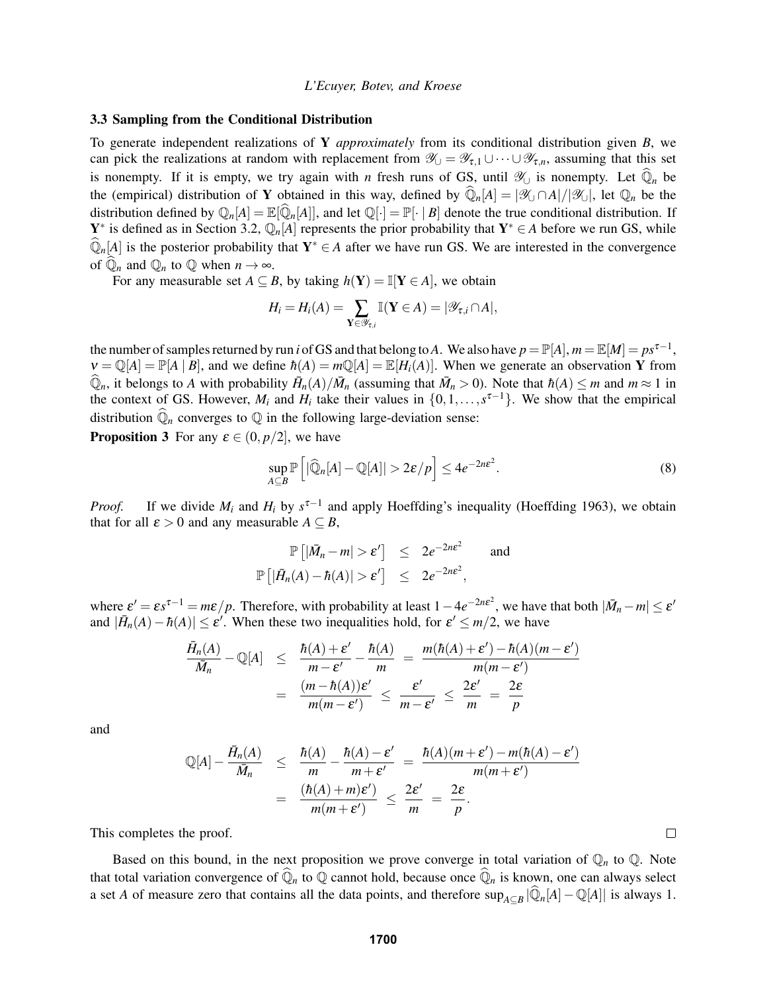### 3.3 Sampling from the Conditional Distribution

To generate independent realizations of Y *approximately* from its conditional distribution given *B*, we can pick the realizations at random with replacement from  $\mathscr{Y}_{\cup} = \mathscr{Y}_{\tau,1} \cup \cdots \cup \mathscr{Y}_{\tau,n}$ , assuming that this set is nonempty. If it is empty, we try again with *n* fresh runs of GS, until  $\mathcal{Y}_\cup$  is nonempty. Let  $\hat{\mathbb{Q}}_n$  be the (empirical) distribution of Y obtained in this way, defined by  $\widehat{\mathbb{Q}}_n[A] = |\mathscr{X}_\cup \cap A|/|\mathscr{X}_\cup|$ , let  $\mathbb{Q}_n$  be the distribution defined by  $\mathbb{Q}_n[A] = \mathbb{E}[\hat{\mathbb{Q}}_n[A]]$ , and let  $\mathbb{Q}[\cdot] = \mathbb{P}[\cdot | B]$  denote the true conditional distribution. If Y<sup>\*</sup> is defined as in Section 3.2,  $\mathbb{Q}_n[A]$  represents the prior probability that Y<sup>\*</sup>  $\in A$  before we run GS, while  $\widehat{\mathbb{Q}}_n[A]$  is the posterior probability that  $Y^* \in A$  after we have run GS. We are interested in the convergence of  $\overline{\mathbb{Q}}_n$  and  $\mathbb{Q}_n$  to  $\mathbb{Q}$  when  $n \to \infty$ .

For any measurable set  $A \subseteq B$ , by taking  $h(Y) = \mathbb{I}[Y \in A]$ , we obtain

$$
H_i = H_i(A) = \sum_{\mathbf{Y} \in \mathscr{Y}_{\tau,i}} \mathbb{I}(\mathbf{Y} \in A) = |\mathscr{Y}_{\tau,i} \cap A|,
$$

the number of samples returned by run *i* of GS and that belong to A. We also have  $p = \mathbb{P}[A]$ ,  $m = \mathbb{E}[M] = ps^{\tau-1}$ ,  $\nu = \mathbb{Q}[A] = \mathbb{P}[A | B]$ , and we define  $\hbar(A) = m\mathbb{Q}[A] = \mathbb{E}[H_i(A)]$ . When we generate an observation Y from  $\widehat{\mathbb{Q}}_n$ , it belongs to *A* with probability  $\bar{H}_n(A)/\bar{M}_n$  (assuming that  $\bar{M}_n > 0$ ). Note that  $\hbar(A) \leq m$  and  $m \approx 1$  in the context of GS. However,  $M_i$  and  $H_i$  take their values in  $\{0,1,\ldots,s^{\tau-1}\}$ . We show that the empirical distribution  $\widehat{\mathbb{Q}}_n$  converges to  $\mathbb Q$  in the following large-deviation sense:

**Proposition 3** For any  $\varepsilon \in (0, p/2]$ , we have

$$
\sup_{A \subseteq B} \mathbb{P}\left[|\widehat{\mathbb{Q}}_n[A] - \mathbb{Q}[A]| > 2\varepsilon/p\right] \le 4e^{-2n\varepsilon^2}.\tag{8}
$$

 $\Box$ 

*Proof.* If we divide  $M_i$  and  $H_i$  by  $s^{\tau-1}$  and apply Hoeffding's inequality (Hoeffding 1963), we obtain that for all  $\varepsilon > 0$  and any measurable  $A \subseteq B$ ,

$$
\mathbb{P}\left[|\bar{M}_n - m| > \varepsilon'\right] \leq 2e^{-2n\varepsilon^2} \quad \text{and} \quad
$$
  

$$
\mathbb{P}\left[|\bar{H}_n(A) - \hbar(A)| > \varepsilon'\right] \leq 2e^{-2n\varepsilon^2},
$$

where  $\varepsilon' = \varepsilon s^{\tau-1} = m\varepsilon/p$ . Therefore, with probability at least  $1 - 4e^{-2n\varepsilon^2}$ , we have that both  $|\bar{M}_n - m| \le \varepsilon'$ and  $|\bar{H}_n(A) - \hbar(A)| \leq \varepsilon'$ . When these two inequalities hold, for  $\varepsilon' \leq m/2$ , we have

$$
\frac{\bar{H}_n(A)}{\bar{M}_n} - \mathbb{Q}[A] \leq \frac{\hbar(A) + \varepsilon'}{m - \varepsilon'} - \frac{\hbar(A)}{m} = \frac{m(\hbar(A) + \varepsilon') - \hbar(A)(m - \varepsilon')}{m(m - \varepsilon')}
$$
\n
$$
= \frac{(m - \hbar(A))\varepsilon'}{m(m - \varepsilon')} \leq \frac{\varepsilon'}{m - \varepsilon'} \leq \frac{2\varepsilon'}{m} = \frac{2\varepsilon}{p}
$$

and

$$
\mathbb{Q}[A] - \frac{\bar{H}_n(A)}{\bar{M}_n} \leq \frac{\hbar(A)}{m} - \frac{\hbar(A) - \varepsilon'}{m + \varepsilon'} = \frac{\hbar(A)(m + \varepsilon') - m(\hbar(A) - \varepsilon')}{m(m + \varepsilon')}
$$
  
= 
$$
\frac{(\hbar(A) + m)\varepsilon')}{m(m + \varepsilon')} \leq \frac{2\varepsilon'}{m} = \frac{2\varepsilon}{p}.
$$

This completes the proof.

Based on this bound, in the next proposition we prove converge in total variation of  $\mathbb{Q}_n$  to  $\mathbb{Q}$ . Note that total variation convergence of  $\overline{\mathbb{Q}}_n$  to  $\mathbb Q$  cannot hold, because once  $\overline{\mathbb{Q}}_n$  is known, one can always select a set *A* of measure zero that contains all the data points, and therefore  $\sup_{A\subseteq B} |\widehat{Q}_n[A]-\mathbb{Q}[A]|$  is always 1.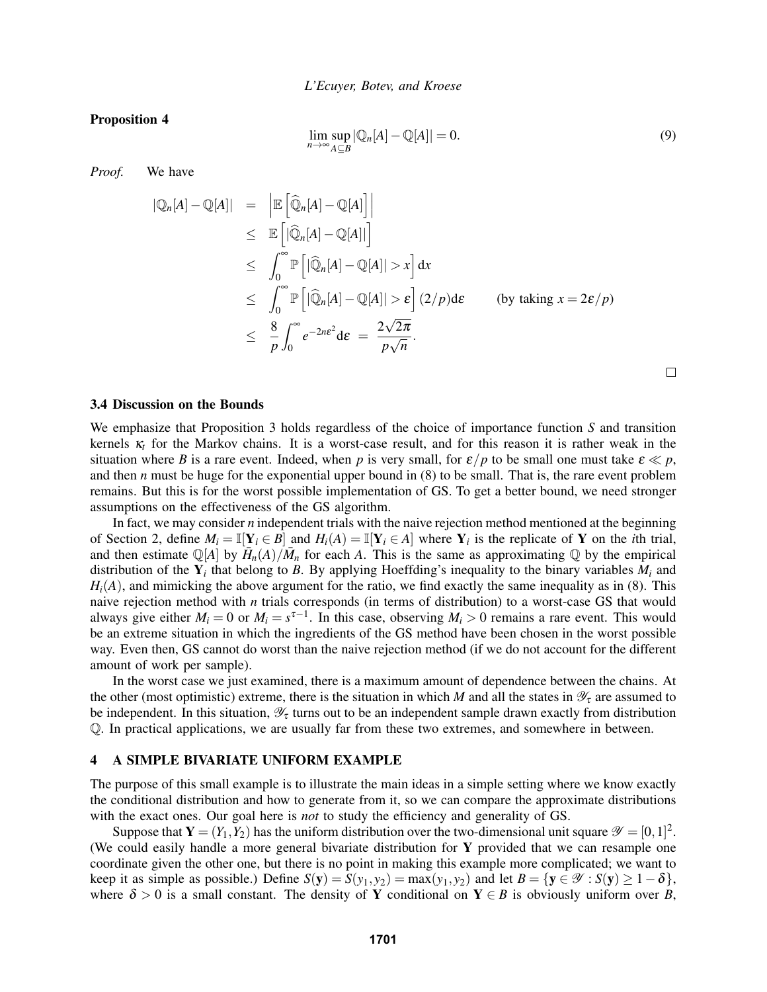Proposition 4

$$
\lim_{n \to \infty} \sup_{A \subseteq B} |\mathbb{Q}_n[A] - \mathbb{Q}[A]| = 0.
$$
\n(9)

*Proof.* We have

$$
\begin{array}{rcl}\n|\mathbb{Q}_n[A] - \mathbb{Q}[A] & = & \left| \mathbb{E} \left[ \widehat{\mathbb{Q}}_n[A] - \mathbb{Q}[A] \right] \right| \\
& \leq & \mathbb{E} \left[ |\widehat{\mathbb{Q}}_n[A] - \mathbb{Q}[A] | \right] \\
& \leq & \int_0^\infty \mathbb{P} \left[ |\widehat{\mathbb{Q}}_n[A] - \mathbb{Q}[A]| > x \right] dx \\
& \leq & \int_0^\infty \mathbb{P} \left[ |\widehat{\mathbb{Q}}_n[A] - \mathbb{Q}[A]| > \varepsilon \right] (2/p) d\varepsilon \qquad \text{(by taking } x = 2\varepsilon/p) \\
& \leq & \frac{8}{p} \int_0^\infty e^{-2n\varepsilon^2} d\varepsilon = \frac{2\sqrt{2\pi}}{p\sqrt{n}}.\n\end{array}
$$

 $\Box$ 

#### 3.4 Discussion on the Bounds

We emphasize that Proposition 3 holds regardless of the choice of importance function *S* and transition kernels κ*<sup>t</sup>* for the Markov chains. It is a worst-case result, and for this reason it is rather weak in the situation where *B* is a rare event. Indeed, when *p* is very small, for  $\varepsilon/p$  to be small one must take  $\varepsilon \ll p$ , and then *n* must be huge for the exponential upper bound in  $(8)$  to be small. That is, the rare event problem remains. But this is for the worst possible implementation of GS. To get a better bound, we need stronger assumptions on the effectiveness of the GS algorithm.

In fact, we may consider *n* independent trials with the naive rejection method mentioned at the beginning of Section 2, define  $M_i = \mathbb{I}[Y_i \in B]$  and  $H_i(A) = \mathbb{I}[Y_i \in A]$  where  $Y_i$  is the replicate of Y on the *i*th trial, and then estimate  $\mathbb{Q}[A]$  by  $\overline{H}_n(A)/\overline{M}_n$  for each *A*. This is the same as approximating  $\mathbb Q$  by the empirical distribution of the  $Y_i$  that belong to *B*. By applying Hoeffding's inequality to the binary variables  $M_i$  and  $H_i(A)$ , and mimicking the above argument for the ratio, we find exactly the same inequality as in (8). This naive rejection method with *n* trials corresponds (in terms of distribution) to a worst-case GS that would always give either  $M_i = 0$  or  $M_i = s^{\tau-1}$ . In this case, observing  $M_i > 0$  remains a rare event. This would be an extreme situation in which the ingredients of the GS method have been chosen in the worst possible way. Even then, GS cannot do worst than the naive rejection method (if we do not account for the different amount of work per sample).

In the worst case we just examined, there is a maximum amount of dependence between the chains. At the other (most optimistic) extreme, there is the situation in which *M* and all the states in  $\mathcal{Y}_\tau$  are assumed to be independent. In this situation,  $\mathcal{Y}_{\tau}$  turns out to be an independent sample drawn exactly from distribution Q. In practical applications, we are usually far from these two extremes, and somewhere in between.

### 4 A SIMPLE BIVARIATE UNIFORM EXAMPLE

The purpose of this small example is to illustrate the main ideas in a simple setting where we know exactly the conditional distribution and how to generate from it, so we can compare the approximate distributions with the exact ones. Our goal here is *not* to study the efficiency and generality of GS.

Suppose that  $Y = (Y_1, Y_2)$  has the uniform distribution over the two-dimensional unit square  $\mathscr{Y} = [0, 1]^2$ . (We could easily handle a more general bivariate distribution for Y provided that we can resample one coordinate given the other one, but there is no point in making this example more complicated; we want to keep it as simple as possible.) Define  $S(y) = S(y_1, y_2) = \max(y_1, y_2)$  and let  $B = \{y \in \mathcal{Y} : S(y) \ge 1 - \delta\}$ , where  $\delta > 0$  is a small constant. The density of Y conditional on  $Y \in B$  is obviously uniform over *B*,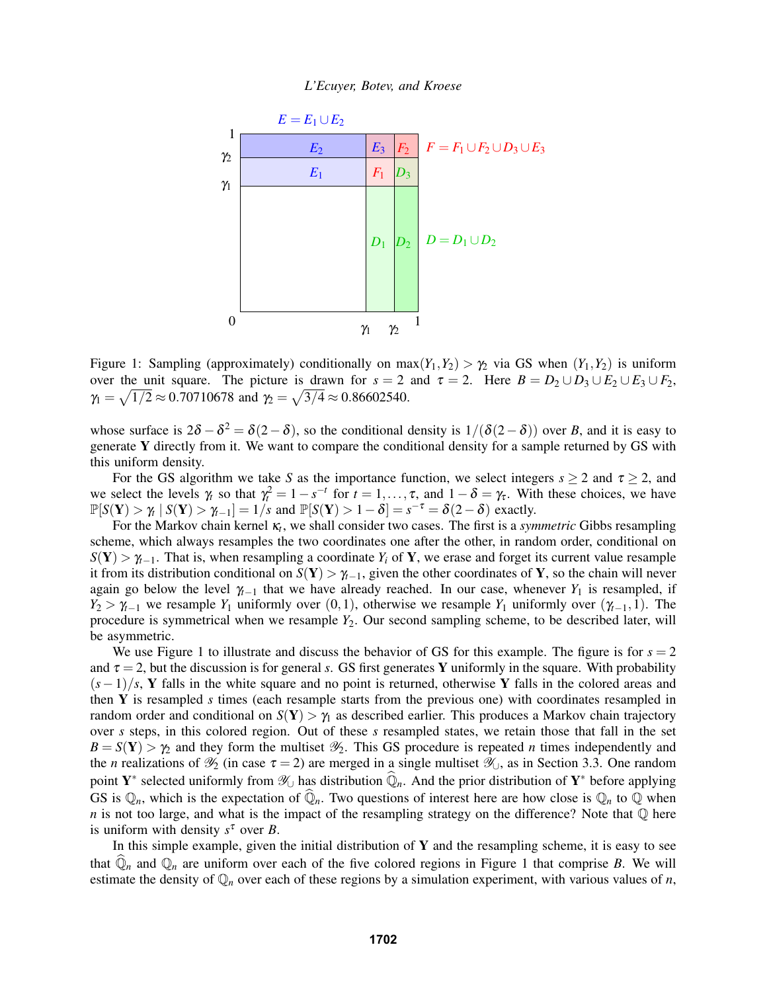*L'Ecuyer, Botev, and Kroese*



Figure 1: Sampling (approximately) conditionally on  $max(Y_1, Y_2) > \gamma_2$  via GS when  $(Y_1, Y_2)$  is uniform over the unit square. The picture is drawn for  $s = 2$  and  $\tau = 2$ . Here  $B = D_2 \cup D_3 \cup E_2 \cup E_3 \cup F_2$ ,  $\gamma_1 = \sqrt{1/2} \approx 0.70710678$  and  $\gamma_2 = \sqrt{3/4} \approx 0.86602540$ .

whose surface is  $2\delta - \delta^2 = \delta(2-\delta)$ , so the conditional density is  $1/(\delta(2-\delta))$  over *B*, and it is easy to generate Y directly from it. We want to compare the conditional density for a sample returned by GS with this uniform density.

For the GS algorithm we take *S* as the importance function, we select integers  $s \ge 2$  and  $\tau \ge 2$ , and we select the levels  $\gamma_t$  so that  $\gamma_t^2 = 1 - s^{-t}$  for  $t = 1, \ldots, \tau$ , and  $1 - \delta = \gamma_{\tau}$ . With these choices, we have  $\mathbb{P}[S(Y) > \gamma_t | S(Y) > \gamma_{t-1}] = 1/s$  and  $\mathbb{P}[S(Y) > 1 - \delta] = s^{-\tau} = \delta(2 - \delta)$  exactly.

For the Markov chain kernel κ*<sup>t</sup>* , we shall consider two cases. The first is a *symmetric* Gibbs resampling scheme, which always resamples the two coordinates one after the other, in random order, conditional on  $S(Y) > \gamma_{-1}$ . That is, when resampling a coordinate *Y<sub>i</sub>* of **Y**, we erase and forget its current value resample it from its distribution conditional on  $S(Y) > \gamma_{t-1}$ , given the other coordinates of Y, so the chain will never again go below the level  $\gamma_{t-1}$  that we have already reached. In our case, whenever  $Y_1$  is resampled, if *Y*<sub>2</sub> >  $\gamma$ <sub>*t*−1</sub> we resample *Y*<sub>1</sub> uniformly over (0,1), otherwise we resample *Y*<sub>1</sub> uniformly over ( $\gamma$ <sub>*t*−1</sub>,1). The procedure is symmetrical when we resample *Y*2. Our second sampling scheme, to be described later, will be asymmetric.

We use Figure 1 to illustrate and discuss the behavior of GS for this example. The figure is for  $s = 2$ and  $\tau = 2$ , but the discussion is for general *s*. GS first generates Y uniformly in the square. With probability (*s*−1)/*s*, Y falls in the white square and no point is returned, otherwise Y falls in the colored areas and then Y is resampled *s* times (each resample starts from the previous one) with coordinates resampled in random order and conditional on  $S(Y) > \gamma_1$  as described earlier. This produces a Markov chain trajectory over *s* steps, in this colored region. Out of these *s* resampled states, we retain those that fall in the set  $B = S(Y) > \gamma_2$  and they form the multiset  $\mathcal{Y}_2$ . This GS procedure is repeated *n* times independently and the *n* realizations of  $\mathcal{Y}_2$  (in case  $\tau = 2$ ) are merged in a single multiset  $\mathcal{Y}_0$ , as in Section 3.3. One random point Y<sup>∗</sup> selected uniformly from  $\mathcal{Y}_\cup$  has distribution  $\widehat{\mathbb{Q}}_n$ . And the prior distribution of Y<sup>∗</sup> before applying GS is  $\mathbb{Q}_n$ , which is the expectation of  $\mathbb{Q}_n$ . Two questions of interest here are how close is  $\mathbb{Q}_n$  to  $\mathbb Q$  when *n* is not too large, and what is the impact of the resampling strategy on the difference? Note that  $\mathbb Q$  here is uniform with density  $s^{\tau}$  over *B*.

In this simple example, given the initial distribution of  $Y$  and the resampling scheme, it is easy to see that  $\mathbb{Q}_n$  and  $\mathbb{Q}_n$  are uniform over each of the five colored regions in Figure 1 that comprise *B*. We will estimate the density of Q*<sup>n</sup>* over each of these regions by a simulation experiment, with various values of *n*,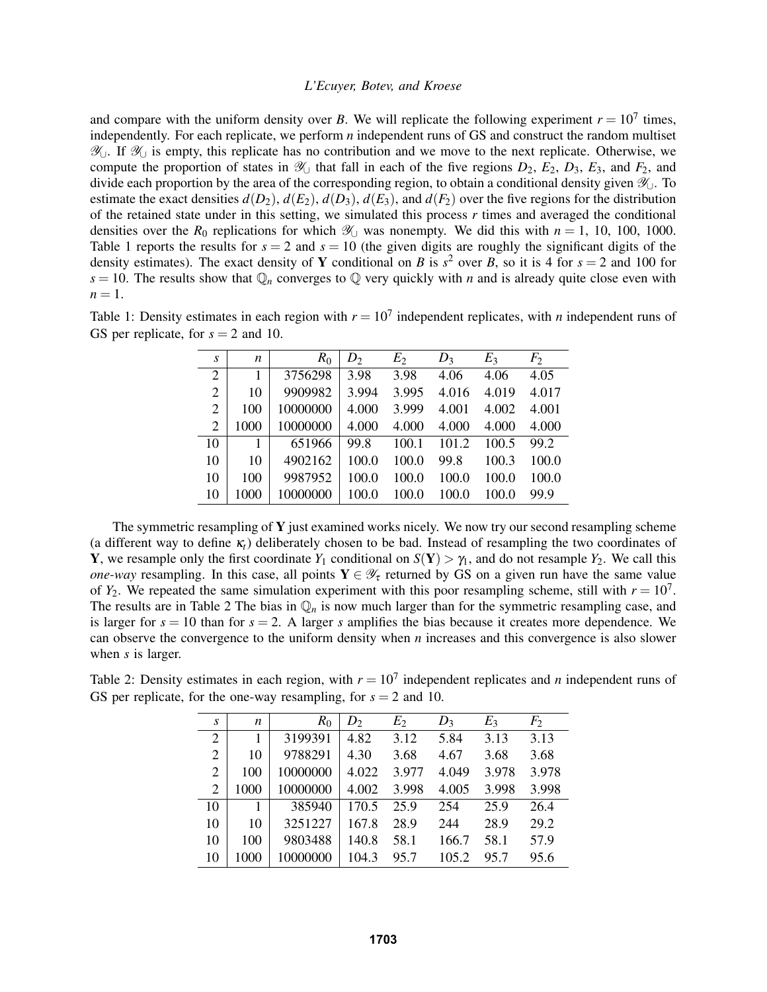and compare with the uniform density over *B*. We will replicate the following experiment  $r = 10^7$  times, independently. For each replicate, we perform *n* independent runs of GS and construct the random multiset  $\mathcal{Y}_\cup$ . If  $\mathcal{Y}_\cup$  is empty, this replicate has no contribution and we move to the next replicate. Otherwise, we compute the proportion of states in  $\mathcal{Y}_{\cup}$  that fall in each of the five regions  $D_2$ ,  $E_2$ ,  $D_3$ ,  $E_3$ , and  $F_2$ , and divide each proportion by the area of the corresponding region, to obtain a conditional density given Y∪. To estimate the exact densities  $d(D_2)$ ,  $d(E_2)$ ,  $d(D_3)$ ,  $d(E_3)$ , and  $d(F_2)$  over the five regions for the distribution of the retained state under in this setting, we simulated this process *r* times and averaged the conditional densities over the  $R_0$  replications for which  $\mathcal{Y}_{\perp}$  was nonempty. We did this with  $n = 1, 10, 100, 1000$ . Table 1 reports the results for  $s = 2$  and  $s = 10$  (the given digits are roughly the significant digits of the density estimates). The exact density of Y conditional on *B* is  $s^2$  over *B*, so it is 4 for  $s = 2$  and 100 for  $s = 10$ . The results show that  $\mathbb{Q}_n$  converges to  $\mathbb Q$  very quickly with *n* and is already quite close even with  $n=1$ .

| Table 1: Density estimates in each region with $r = 10^7$ independent replicates, with <i>n</i> independent runs of |  |
|---------------------------------------------------------------------------------------------------------------------|--|
| GS per replicate, for $s = 2$ and 10.                                                                               |  |

| S              | n    | $R_0$    | $D_2$ | E <sub>2</sub> | $D_3$ | $E_3$ | $F_2$ |
|----------------|------|----------|-------|----------------|-------|-------|-------|
| 2              | 1    | 3756298  | 3.98  | 3.98           | 4.06  | 4.06  | 4.05  |
| 2              | 10   | 9909982  | 3.994 | 3.995          | 4.016 | 4.019 | 4.017 |
| $\mathfrak{2}$ | 100  | 10000000 | 4.000 | 3.999          | 4.001 | 4.002 | 4.001 |
| 2              | 1000 | 10000000 | 4.000 | 4.000          | 4.000 | 4.000 | 4.000 |
| 10             |      | 651966   | 99.8  | 100.1          | 101.2 | 100.5 | 99.2  |
| 10             | 10   | 4902162  | 100.0 | 100.0          | 99.8  | 100.3 | 100.0 |
| 10             | 100  | 9987952  | 100.0 | 100.0          | 100.0 | 100.0 | 100.0 |
| 10             | 1000 | 10000000 | 100.0 | 100.0          | 100.0 | 100.0 | 99.9  |

The symmetric resampling of  $\bf{Y}$  just examined works nicely. We now try our second resampling scheme (a different way to define  $\kappa_t$ ) deliberately chosen to be bad. Instead of resampling the two coordinates of Y, we resample only the first coordinate  $Y_1$  conditional on  $S(Y) > \gamma_1$ , and do not resample  $Y_2$ . We call this *one-way* resampling. In this case, all points  $Y \in \mathcal{Y}$  returned by GS on a given run have the same value of  $Y_2$ . We repeated the same simulation experiment with this poor resampling scheme, still with  $r = 10^7$ . The results are in Table 2 The bias in  $\mathbb{Q}_n$  is now much larger than for the symmetric resampling case, and is larger for  $s = 10$  than for  $s = 2$ . A larger *s* amplifies the bias because it creates more dependence. We can observe the convergence to the uniform density when *n* increases and this convergence is also slower when *s* is larger.

Table 2: Density estimates in each region, with  $r = 10<sup>7</sup>$  independent replicates and *n* independent runs of GS per replicate, for the one-way resampling, for  $s = 2$  and 10.

| S              | n    | $R_0$    | $D_2$ | $E_2$ | $D_3$ | $E_3$ | $F_2$ |
|----------------|------|----------|-------|-------|-------|-------|-------|
| $\overline{2}$ |      | 3199391  | 4.82  | 3.12  | 5.84  | 3.13  | 3.13  |
| 2              | 10   | 9788291  | 4.30  | 3.68  | 4.67  | 3.68  | 3.68  |
| 2              | 100  | 10000000 | 4.022 | 3.977 | 4.049 | 3.978 | 3.978 |
| 2              | 1000 | 10000000 | 4.002 | 3.998 | 4.005 | 3.998 | 3.998 |
| 10             |      | 385940   | 170.5 | 25.9  | 254   | 25.9  | 26.4  |
| 10             | 10   | 3251227  | 167.8 | 28.9  | 244   | 28.9  | 29.2  |
| 10             | 100  | 9803488  | 140.8 | 58.1  | 166.7 | 58.1  | 57.9  |
| 10             | 1000 | 10000000 | 104.3 | 95.7  | 105.2 | 95.7  | 95.6  |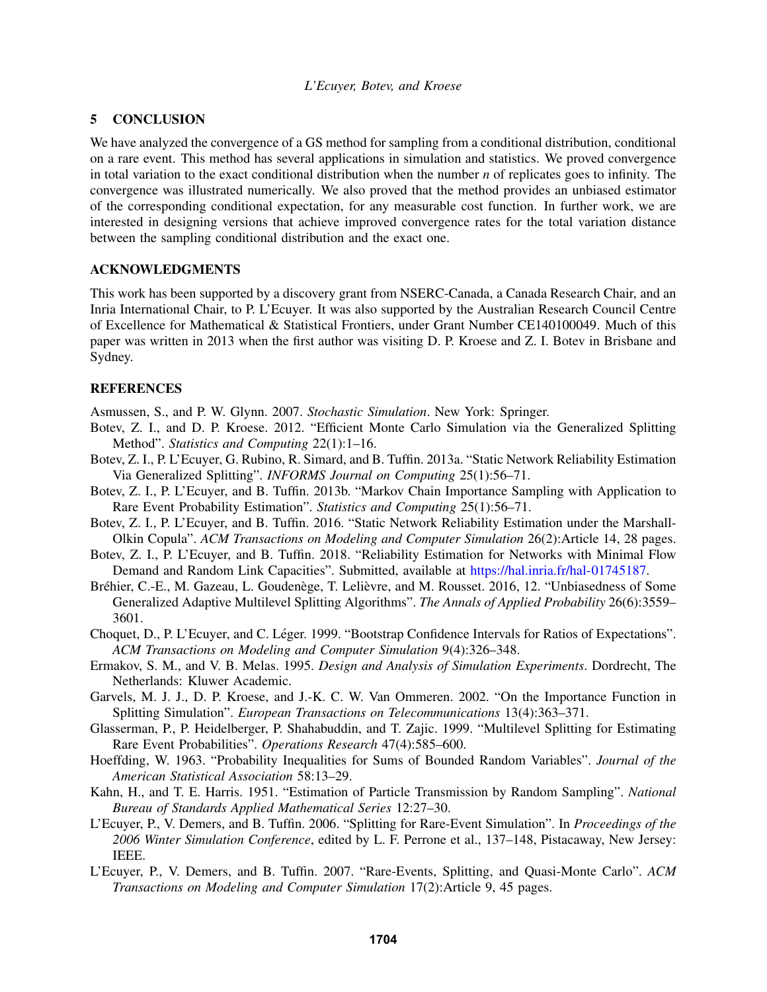# 5 CONCLUSION

We have analyzed the convergence of a GS method for sampling from a conditional distribution, conditional on a rare event. This method has several applications in simulation and statistics. We proved convergence in total variation to the exact conditional distribution when the number *n* of replicates goes to infinity. The convergence was illustrated numerically. We also proved that the method provides an unbiased estimator of the corresponding conditional expectation, for any measurable cost function. In further work, we are interested in designing versions that achieve improved convergence rates for the total variation distance between the sampling conditional distribution and the exact one.

# ACKNOWLEDGMENTS

This work has been supported by a discovery grant from NSERC-Canada, a Canada Research Chair, and an Inria International Chair, to P. L'Ecuyer. It was also supported by the Australian Research Council Centre of Excellence for Mathematical & Statistical Frontiers, under Grant Number CE140100049. Much of this paper was written in 2013 when the first author was visiting D. P. Kroese and Z. I. Botev in Brisbane and Sydney.

# **REFERENCES**

Asmussen, S., and P. W. Glynn. 2007. *Stochastic Simulation*. New York: Springer.

- Botev, Z. I., and D. P. Kroese. 2012. "Efficient Monte Carlo Simulation via the Generalized Splitting Method". *Statistics and Computing* 22(1):1–16.
- Botev, Z. I., P. L'Ecuyer, G. Rubino, R. Simard, and B. Tuffin. 2013a. "Static Network Reliability Estimation Via Generalized Splitting". *INFORMS Journal on Computing* 25(1):56–71.
- Botev, Z. I., P. L'Ecuyer, and B. Tuffin. 2013b. "Markov Chain Importance Sampling with Application to Rare Event Probability Estimation". *Statistics and Computing* 25(1):56–71.
- Botev, Z. I., P. L'Ecuyer, and B. Tuffin. 2016. "Static Network Reliability Estimation under the Marshall-Olkin Copula". *ACM Transactions on Modeling and Computer Simulation* 26(2):Article 14, 28 pages.
- Botev, Z. I., P. L'Ecuyer, and B. Tuffin. 2018. "Reliability Estimation for Networks with Minimal Flow Demand and Random Link Capacities". Submitted, available at https://hal.inria.fr/hal-01745187.
- Bréhier, C.-E., M. Gazeau, L. Goudenège, T. Lelièvre, and M. Rousset. 2016, 12. "Unbiasedness of Some Generalized Adaptive Multilevel Splitting Algorithms". *The Annals of Applied Probability* 26(6):3559– 3601.
- Choquet, D., P. L'Ecuyer, and C. Léger. 1999. "Bootstrap Confidence Intervals for Ratios of Expectations". *ACM Transactions on Modeling and Computer Simulation* 9(4):326–348.
- Ermakov, S. M., and V. B. Melas. 1995. *Design and Analysis of Simulation Experiments*. Dordrecht, The Netherlands: Kluwer Academic.
- Garvels, M. J. J., D. P. Kroese, and J.-K. C. W. Van Ommeren. 2002. "On the Importance Function in Splitting Simulation". *European Transactions on Telecommunications* 13(4):363–371.
- Glasserman, P., P. Heidelberger, P. Shahabuddin, and T. Zajic. 1999. "Multilevel Splitting for Estimating Rare Event Probabilities". *Operations Research* 47(4):585–600.
- Hoeffding, W. 1963. "Probability Inequalities for Sums of Bounded Random Variables". *Journal of the American Statistical Association* 58:13–29.
- Kahn, H., and T. E. Harris. 1951. "Estimation of Particle Transmission by Random Sampling". *National Bureau of Standards Applied Mathematical Series* 12:27–30.
- L'Ecuyer, P., V. Demers, and B. Tuffin. 2006. "Splitting for Rare-Event Simulation". In *Proceedings of the 2006 Winter Simulation Conference*, edited by L. F. Perrone et al., 137–148, Pistacaway, New Jersey: IEEE.
- L'Ecuyer, P., V. Demers, and B. Tuffin. 2007. "Rare-Events, Splitting, and Quasi-Monte Carlo". *ACM Transactions on Modeling and Computer Simulation* 17(2):Article 9, 45 pages.